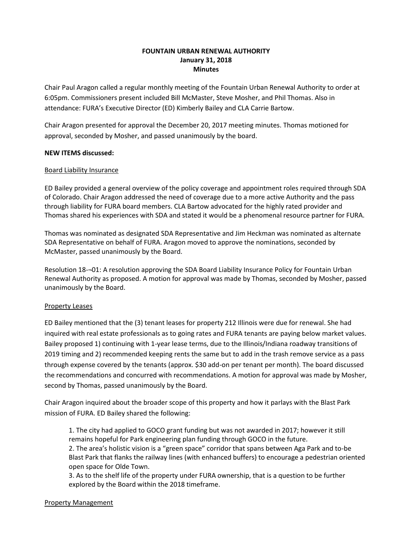# **FOUNTAIN URBAN RENEWAL AUTHORITY January 31, 2018 Minutes**

Chair Paul Aragon called a regular monthly meeting of the Fountain Urban Renewal Authority to order at 6:05pm. Commissioners present included Bill McMaster, Steve Mosher, and Phil Thomas. Also in attendance: FURA's Executive Director (ED) Kimberly Bailey and CLA Carrie Bartow.

Chair Aragon presented for approval the December 20, 2017 meeting minutes. Thomas motioned for approval, seconded by Mosher, and passed unanimously by the board.

# **NEW ITEMS discussed:**

### Board Liability Insurance

ED Bailey provided a general overview of the policy coverage and appointment roles required through SDA of Colorado. Chair Aragon addressed the need of coverage due to a more active Authority and the pass through liability for FURA board members. CLA Bartow advocated for the highly rated provider and Thomas shared his experiences with SDA and stated it would be a phenomenal resource partner for FURA.

Thomas was nominated as designated SDA Representative and Jim Heckman was nominated as alternate SDA Representative on behalf of FURA. Aragon moved to approve the nominations, seconded by McMaster, passed unanimously by the Board.

Resolution 18-¬01: A resolution approving the SDA Board Liability Insurance Policy for Fountain Urban Renewal Authority as proposed. A motion for approval was made by Thomas, seconded by Mosher, passed unanimously by the Board.

#### Property Leases

ED Bailey mentioned that the (3) tenant leases for property 212 Illinois were due for renewal. She had inquired with real estate professionals as to going rates and FURA tenants are paying below market values. Bailey proposed 1) continuing with 1-year lease terms, due to the Illinois/Indiana roadway transitions of 2019 timing and 2) recommended keeping rents the same but to add in the trash remove service as a pass through expense covered by the tenants (approx. \$30 add-on per tenant per month). The board discussed the recommendations and concurred with recommendations. A motion for approval was made by Mosher, second by Thomas, passed unanimously by the Board.

Chair Aragon inquired about the broader scope of this property and how it parlays with the Blast Park mission of FURA. ED Bailey shared the following:

1. The city had applied to GOCO grant funding but was not awarded in 2017; however it still remains hopeful for Park engineering plan funding through GOCO in the future. 2. The area's holistic vision is a "green space" corridor that spans between Aga Park and to-be Blast Park that flanks the railway lines (with enhanced buffers) to encourage a pedestrian oriented open space for Olde Town.

3. As to the shelf life of the property under FURA ownership, that is a question to be further explored by the Board within the 2018 timeframe.

#### Property Management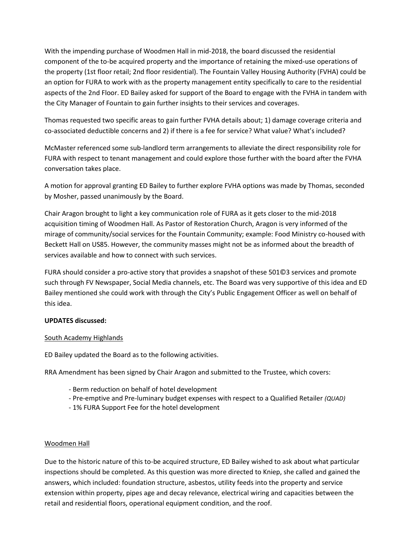With the impending purchase of Woodmen Hall in mid-2018, the board discussed the residential component of the to-be acquired property and the importance of retaining the mixed-use operations of the property (1st floor retail; 2nd floor residential). The Fountain Valley Housing Authority (FVHA) could be an option for FURA to work with as the property management entity specifically to care to the residential aspects of the 2nd Floor. ED Bailey asked for support of the Board to engage with the FVHA in tandem with the City Manager of Fountain to gain further insights to their services and coverages.

Thomas requested two specific areas to gain further FVHA details about; 1) damage coverage criteria and co-associated deductible concerns and 2) if there is a fee for service? What value? What's included?

McMaster referenced some sub-landlord term arrangements to alleviate the direct responsibility role for FURA with respect to tenant management and could explore those further with the board after the FVHA conversation takes place.

A motion for approval granting ED Bailey to further explore FVHA options was made by Thomas, seconded by Mosher, passed unanimously by the Board.

Chair Aragon brought to light a key communication role of FURA as it gets closer to the mid-2018 acquisition timing of Woodmen Hall. As Pastor of Restoration Church, Aragon is very informed of the mirage of community/social services for the Fountain Community; example: Food Ministry co-housed with Beckett Hall on US85. However, the community masses might not be as informed about the breadth of services available and how to connect with such services.

FURA should consider a pro-active story that provides a snapshot of these 501©3 services and promote such through FV Newspaper, Social Media channels, etc. The Board was very supportive of this idea and ED Bailey mentioned she could work with through the City's Public Engagement Officer as well on behalf of this idea.

# **UPDATES discussed:**

# South Academy Highlands

ED Bailey updated the Board as to the following activities.

RRA Amendment has been signed by Chair Aragon and submitted to the Trustee, which covers:

- Berm reduction on behalf of hotel development
- Pre-emptive and Pre-luminary budget expenses with respect to a Qualified Retailer *(QUAD)*
- 1% FURA Support Fee for the hotel development

#### Woodmen Hall

Due to the historic nature of this to-be acquired structure, ED Bailey wished to ask about what particular inspections should be completed. As this question was more directed to Kniep, she called and gained the answers, which included: foundation structure, asbestos, utility feeds into the property and service extension within property, pipes age and decay relevance, electrical wiring and capacities between the retail and residential floors, operational equipment condition, and the roof.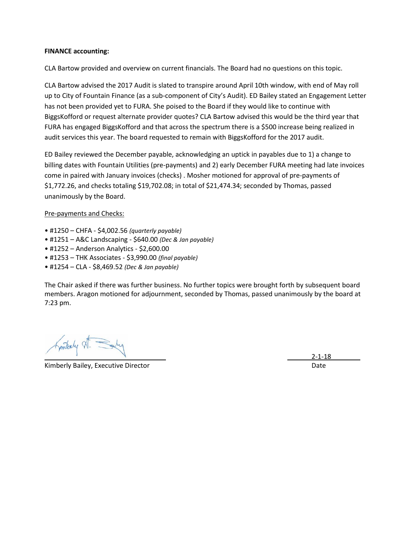### **FINANCE accounting:**

CLA Bartow provided and overview on current financials. The Board had no questions on this topic.

CLA Bartow advised the 2017 Audit is slated to transpire around April 10th window, with end of May roll up to City of Fountain Finance (as a sub-component of City's Audit). ED Bailey stated an Engagement Letter has not been provided yet to FURA. She poised to the Board if they would like to continue with BiggsKofford or request alternate provider quotes? CLA Bartow advised this would be the third year that FURA has engaged BiggsKofford and that across the spectrum there is a \$500 increase being realized in audit services this year. The board requested to remain with BiggsKofford for the 2017 audit.

ED Bailey reviewed the December payable, acknowledging an uptick in payables due to 1) a change to billing dates with Fountain Utilities (pre-payments) and 2) early December FURA meeting had late invoices come in paired with January invoices (checks) . Mosher motioned for approval of pre-payments of \$1,772.26, and checks totaling \$19,702.08; in total of \$21,474.34; seconded by Thomas, passed unanimously by the Board.

### Pre-payments and Checks:

- #1250 CHFA \$4,002.56 *(quarterly payable)*
- #1251 A&C Landscaping \$640.00 *(Dec & Jan payable)*
- #1252 Anderson Analytics \$2,600.00
- #1253 THK Associates \$3,990.00 *(final payable)*
- #1254 CLA \$8,469.52 *(Dec & Jan payable)*

The Chair asked if there was further business. No further topics were brought forth by subsequent board members. Aragon motioned for adjournment, seconded by Thomas, passed unanimously by the board at 7:23 pm.

Kinterly St.

Kimberly Bailey, Executive Director **Date of American Control** Date Date Date

2-1-18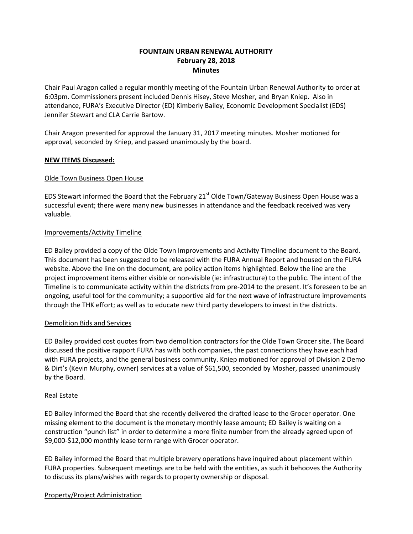# **FOUNTAIN URBAN RENEWAL AUTHORITY February 28, 2018 Minutes**

Chair Paul Aragon called a regular monthly meeting of the Fountain Urban Renewal Authority to order at 6:03pm. Commissioners present included Dennis Hisey, Steve Mosher, and Bryan Kniep. Also in attendance, FURA's Executive Director (ED) Kimberly Bailey, Economic Development Specialist (EDS) Jennifer Stewart and CLA Carrie Bartow.

Chair Aragon presented for approval the January 31, 2017 meeting minutes. Mosher motioned for approval, seconded by Kniep, and passed unanimously by the board.

### **NEW ITEMS Discussed:**

### Olde Town Business Open House

EDS Stewart informed the Board that the February 21<sup>st</sup> Olde Town/Gateway Business Open House was a successful event; there were many new businesses in attendance and the feedback received was very valuable.

### Improvements/Activity Timeline

ED Bailey provided a copy of the Olde Town Improvements and Activity Timeline document to the Board. This document has been suggested to be released with the FURA Annual Report and housed on the FURA website. Above the line on the document, are policy action items highlighted. Below the line are the project improvement items either visible or non-visible (ie: infrastructure) to the public. The intent of the Timeline is to communicate activity within the districts from pre-2014 to the present. It's foreseen to be an ongoing, useful tool for the community; a supportive aid for the next wave of infrastructure improvements through the THK effort; as well as to educate new third party developers to invest in the districts.

#### Demolition Bids and Services

ED Bailey provided cost quotes from two demolition contractors for the Olde Town Grocer site. The Board discussed the positive rapport FURA has with both companies, the past connections they have each had with FURA projects, and the general business community. Kniep motioned for approval of Division 2 Demo & Dirt's (Kevin Murphy, owner) services at a value of \$61,500, seconded by Mosher, passed unanimously by the Board.

#### Real Estate

ED Bailey informed the Board that she recently delivered the drafted lease to the Grocer operator. One missing element to the document is the monetary monthly lease amount; ED Bailey is waiting on a construction "punch list" in order to determine a more finite number from the already agreed upon of \$9,000-\$12,000 monthly lease term range with Grocer operator.

ED Bailey informed the Board that multiple brewery operations have inquired about placement within FURA properties. Subsequent meetings are to be held with the entities, as such it behooves the Authority to discuss its plans/wishes with regards to property ownership or disposal.

#### Property/Project Administration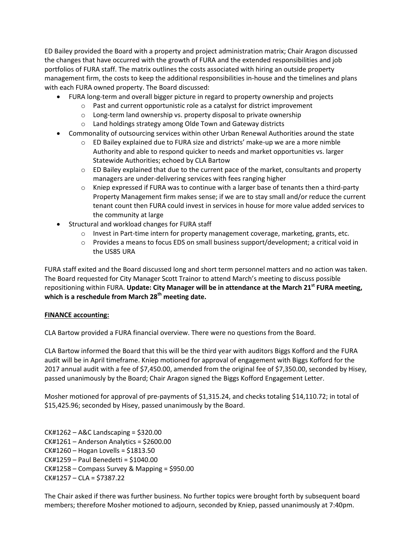ED Bailey provided the Board with a property and project administration matrix; Chair Aragon discussed the changes that have occurred with the growth of FURA and the extended responsibilities and job portfolios of FURA staff. The matrix outlines the costs associated with hiring an outside property management firm, the costs to keep the additional responsibilities in-house and the timelines and plans with each FURA owned property. The Board discussed:

- FURA long-term and overall bigger picture in regard to property ownership and projects
	- o Past and current opportunistic role as a catalyst for district improvement
	- o Long-term land ownership vs. property disposal to private ownership
	- o Land holdings strategy among Olde Town and Gateway districts
- Commonality of outsourcing services within other Urban Renewal Authorities around the state
	- $\circ$  ED Bailey explained due to FURA size and districts' make-up we are a more nimble Authority and able to respond quicker to needs and market opportunities vs. larger Statewide Authorities; echoed by CLA Bartow
	- $\circ$  ED Bailey explained that due to the current pace of the market, consultants and property managers are under-delivering services with fees ranging higher
	- $\circ$  Kniep expressed if FURA was to continue with a larger base of tenants then a third-party Property Management firm makes sense; if we are to stay small and/or reduce the current tenant count then FURA could invest in services in house for more value added services to the community at large
- Structural and workload changes for FURA staff
	- $\circ$  Invest in Part-time intern for property management coverage, marketing, grants, etc.
	- $\circ$  Provides a means to focus EDS on small business support/development; a critical void in the US85 URA

FURA staff exited and the Board discussed long and short term personnel matters and no action was taken. The Board requested for City Manager Scott Trainor to attend March's meeting to discuss possible repositioning within FURA. **Update: City Manager will be in attendance at the March 21st FURA meeting, which is a reschedule from March 28th meeting date.**

# **FINANCE accounting:**

CLA Bartow provided a FURA financial overview. There were no questions from the Board.

CLA Bartow informed the Board that this will be the third year with auditors Biggs Kofford and the FURA audit will be in April timeframe. Kniep motioned for approval of engagement with Biggs Kofford for the 2017 annual audit with a fee of \$7,450.00, amended from the original fee of \$7,350.00, seconded by Hisey, passed unanimously by the Board; Chair Aragon signed the Biggs Kofford Engagement Letter.

Mosher motioned for approval of pre-payments of \$1,315.24, and checks totaling \$14,110.72; in total of \$15,425.96; seconded by Hisey, passed unanimously by the Board.

 $CK#1262 - ABC$  Landscaping = \$320.00 CK#1261 – Anderson Analytics = \$2600.00 CK#1260 – Hogan Lovells = \$1813.50 CK#1259 – Paul Benedetti = \$1040.00 CK#1258 – Compass Survey & Mapping = \$950.00  $CK#1257 - CLA = $7387.22$ 

The Chair asked if there was further business. No further topics were brought forth by subsequent board members; therefore Mosher motioned to adjourn, seconded by Kniep, passed unanimously at 7:40pm.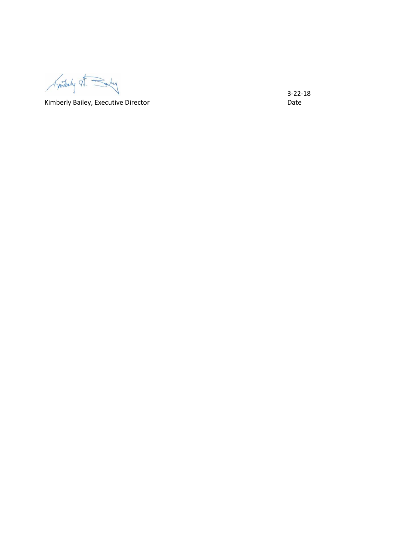Finitialy A. Saily

Kimberly Bailey, Executive Director **National Execution** Date

3 -22 -18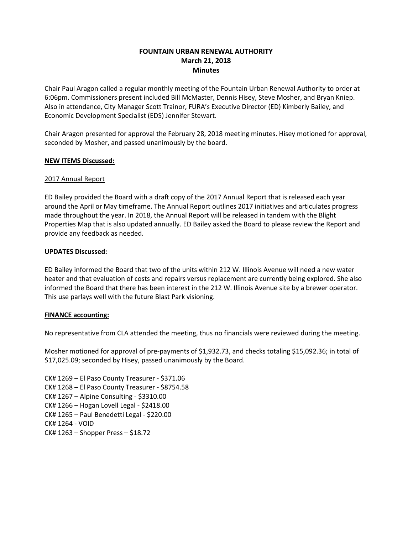# **FOUNTAIN URBAN RENEWAL AUTHORITY March 21, 2018 Minutes**

Chair Paul Aragon called a regular monthly meeting of the Fountain Urban Renewal Authority to order at 6:06pm. Commissioners present included Bill McMaster, Dennis Hisey, Steve Mosher, and Bryan Kniep. Also in attendance, City Manager Scott Trainor, FURA's Executive Director (ED) Kimberly Bailey, and Economic Development Specialist (EDS) Jennifer Stewart.

Chair Aragon presented for approval the February 28, 2018 meeting minutes. Hisey motioned for approval, seconded by Mosher, and passed unanimously by the board.

### **NEW ITEMS Discussed:**

### 2017 Annual Report

ED Bailey provided the Board with a draft copy of the 2017 Annual Report that is released each year around the April or May timeframe. The Annual Report outlines 2017 initiatives and articulates progress made throughout the year. In 2018, the Annual Report will be released in tandem with the Blight Properties Map that is also updated annually. ED Bailey asked the Board to please review the Report and provide any feedback as needed.

### **UPDATES Discussed:**

ED Bailey informed the Board that two of the units within 212 W. Illinois Avenue will need a new water heater and that evaluation of costs and repairs versus replacement are currently being explored. She also informed the Board that there has been interest in the 212 W. Illinois Avenue site by a brewer operator. This use parlays well with the future Blast Park visioning.

# **FINANCE accounting:**

No representative from CLA attended the meeting, thus no financials were reviewed during the meeting.

Mosher motioned for approval of pre-payments of \$1,932.73, and checks totaling \$15,092.36; in total of \$17,025.09; seconded by Hisey, passed unanimously by the Board.

CK# 1269 – El Paso County Treasurer - \$371.06 CK# 1268 – El Paso County Treasurer - \$8754.58 CK# 1267 – Alpine Consulting - \$3310.00 CK# 1266 – Hogan Lovell Legal - \$2418.00 CK# 1265 – Paul Benedetti Legal - \$220.00 CK# 1264 - VOID CK# 1263 – Shopper Press – \$18.72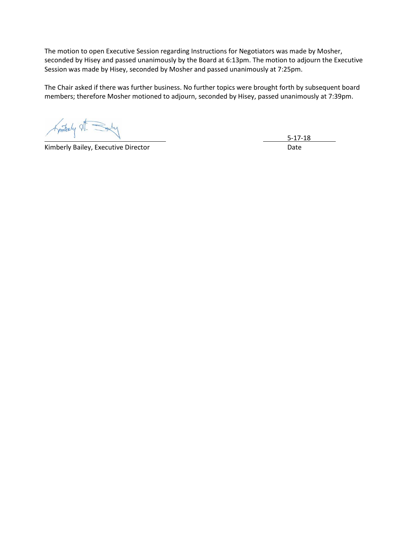The motion to open Executive Session regarding Instructions for Negotiators was made by Mosher, seconded by Hisey and passed unanimously by the Board at 6:13pm. The motion to adjourn the Executive Session was made by Hisey, seconded by Mosher and passed unanimously at 7:25pm.

The Chair asked if there was further business. No further topics were brought forth by subsequent board members; therefore Mosher motioned to adjourn, seconded by Hisey, passed unanimously at 7:39pm.

Finterly St. Sauly

Kimberly Bailey, Executive Director **National Execution** Date

5-17-18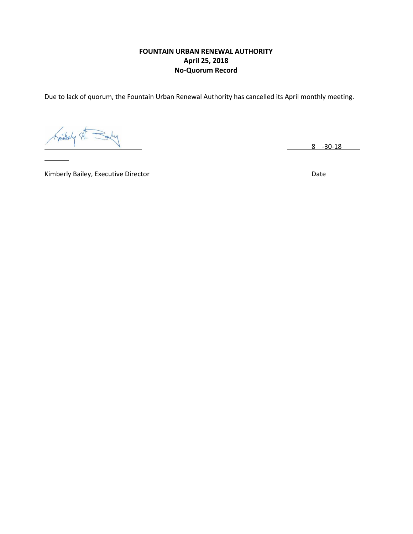# **FOUNTAIN URBAN RENEWAL AUTHORITY April 25, 2018 No-Quorum Record**

Due to lack of quorum, the Fountain Urban Renewal Authority has cancelled its April monthly meeting.

Similarly A

8 -30-18

Kimberly Bailey, Executive Director **National Contract of Contract Contract Contract Contract Contract Contract Contract Contract Contract Contract Contract Contract Contract Contract Contract Contract Contract Contract Co**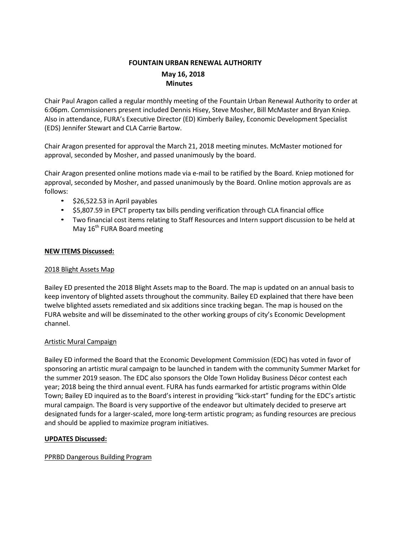# **FOUNTAIN URBAN RENEWAL AUTHORITY May 16, 2018 Minutes**

Chair Paul Aragon called a regular monthly meeting of the Fountain Urban Renewal Authority to order at 6:06pm. Commissioners present included Dennis Hisey, Steve Mosher, Bill McMaster and Bryan Kniep. Also in attendance, FURA's Executive Director (ED) Kimberly Bailey, Economic Development Specialist (EDS) Jennifer Stewart and CLA Carrie Bartow.

Chair Aragon presented for approval the March 21, 2018 meeting minutes. McMaster motioned for approval, seconded by Mosher, and passed unanimously by the board.

Chair Aragon presented online motions made via e-mail to be ratified by the Board. Kniep motioned for approval, seconded by Mosher, and passed unanimously by the Board. Online motion approvals are as follows:

- \$26,522.53 in April payables
- \$5,807.59 in EPCT property tax bills pending verification through CLA financial office
- Two financial cost items relating to Staff Resources and Intern support discussion to be held at May 16<sup>th</sup> FURA Board meeting

# **NEW ITEMS Discussed:**

# 2018 Blight Assets Map

Bailey ED presented the 2018 Blight Assets map to the Board. The map is updated on an annual basis to keep inventory of blighted assets throughout the community. Bailey ED explained that there have been twelve blighted assets remediated and six additions since tracking began. The map is housed on the FURA website and will be disseminated to the other working groups of city's Economic Development channel.

# Artistic Mural Campaign

Bailey ED informed the Board that the Economic Development Commission (EDC) has voted in favor of sponsoring an artistic mural campaign to be launched in tandem with the community Summer Market for the summer 2019 season. The EDC also sponsors the Olde Town Holiday Business Décor contest each year; 2018 being the third annual event. FURA has funds earmarked for artistic programs within Olde Town; Bailey ED inquired as to the Board's interest in providing "kick-start" funding for the EDC's artistic mural campaign. The Board is very supportive of the endeavor but ultimately decided to preserve art designated funds for a larger-scaled, more long-term artistic program; as funding resources are precious and should be applied to maximize program initiatives.

# **UPDATES Discussed:**

# PPRBD Dangerous Building Program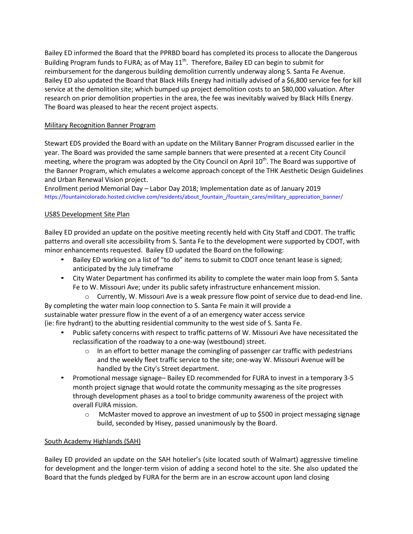Bailey ED informed the Board that the PPRBD board has completed its process to allocate the Dangerous Building Program funds to FURA; as of May  $11^{th}$ . Therefore, Bailey ED can begin to submit for reimbursement for the dangerous building demolition currently underway along S. Santa Fe Avenue. Bailey ED also updated the Board that Black Hills Energy had initially advised of a \$6,800 service fee for kill service at the demolition site; which bumped up project demolition costs to an \$80,000 valuation. After research on prior demolition properties in the area, the fee was inevitably waived by Black Hills Energy. The Board was pleased to hear the recent project aspects.

# Military Recognition Banner Program

Stewart EDS provided the Board with an update on the Military Banner Program discussed earlier in the year. The Board was provided the same sample banners that were presented at a recent City Council meeting, where the program was adopted by the City Council on April 10<sup>th</sup>. The Board was supportive of the Banner Program, which emulates a welcome approach concept of the THK Aesthetic Design Guidelines and Urban Renewal Vision project.

Enrollment period Memorial Day – Labor Day 2018; Implementation date as of January 2019 [https://fountaincolorado.hosted.civiclive.com/residents/about\\_fountain\\_/fountain\\_cares/military\\_appreciation\\_banner/](https://fountaincolorado.hosted.civiclive.com/residents/about_fountain_/fountain_cares/military_appreciation_banner/)

# US85 Development Site Plan

Bailey ED provided an update on the positive meeting recently held with City Staff and CDOT. The traffic patterns and overall site accessibility from S. Santa Fe to the development were supported by CDOT, with minor enhancements requested. Bailey ED updated the Board on the following:

- Bailey ED working on a list of "to do" items to submit to CDOT once tenant lease is signed; anticipated by the July timeframe
- City Water Department has confirmed its ability to complete the water main loop from S. Santa Fe to W. Missouri Ave; under its public safety infrastructure enhancement mission.
- o Currently, W. Missouri Ave is a weak pressure flow point of service due to dead-end line. By completing the water main loop connection to S. Santa Fe main it will provide a

sustainable water pressure flow in the event of a of an emergency water access service (ie: fire hydrant) to the abutting residential community to the west side of S. Santa Fe.

- Public safety concerns with respect to traffic patterns of W. Missouri Ave have necessitated the reclassification of the roadway to a one-way (westbound) street.
	- $\circ$  In an effort to better manage the comingling of passenger car traffic with pedestrians and the weekly fleet traffic service to the site; one-way W. Missouri Avenue will be handled by the City's Street department.
- Promotional message signage– Bailey ED recommended for FURA to invest in a temporary 3-5 month project signage that would rotate the community messaging as the site progresses through development phases as a tool to bridge community awareness of the project with overall FURA mission.
	- $\circ$  McMaster moved to approve an investment of up to \$500 in project messaging signage build, seconded by Hisey, passed unanimously by the Board.

# South Academy Highlands (SAH)

Bailey ED provided an update on the SAH hotelier's (site located south of Walmart) aggressive timeline for development and the longer-term vision of adding a second hotel to the site. She also updated the Board that the funds pledged by FURA for the berm are in an escrow account upon land closing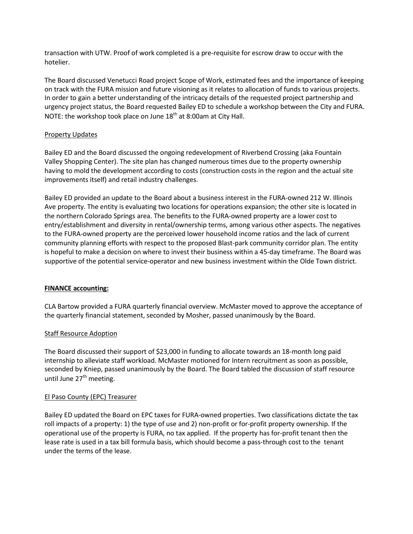transaction with UTW. Proof of work completed is a pre-requisite for escrow draw to occur with the hotelier.

The Board discussed Venetucci Road project Scope of Work, estimated fees and the importance of keeping on track with the FURA mission and future visioning as it relates to allocation of funds to various projects. In order to gain a better understanding of the intricacy details of the requested project partnership and urgency project status, the Board requested Bailey ED to schedule a workshop between the City and FURA. NOTE: the workshop took place on June 18<sup>th</sup> at 8:00am at City Hall.

# Property Updates

Bailey ED and the Board discussed the ongoing redevelopment of Riverbend Crossing (aka Fountain Valley Shopping Center). The site plan has changed numerous times due to the property ownership having to mold the development according to costs (construction costs in the region and the actual site improvements itself) and retail industry challenges.

Bailey ED provided an update to the Board about a business interest in the FURA-owned 212 W. Illinois Ave property. The entity is evaluating two locations for operations expansion; the other site is located in the northern Colorado Springs area. The benefits to the FURA-owned property are a lower cost to entry/establishment and diversity in rental/ownership terms, among various other aspects. The negatives to the FURA-owned property are the perceived lower household income ratios and the lack of current community planning efforts with respect to the proposed Blast-park community corridor plan. The entity is hopeful to make a decision on where to invest their business within a 45-day timeframe. The Board was supportive of the potential service-operator and new business investment within the Olde Town district.

# **FINANCE accounting:**

CLA Bartow provided a FURA quarterly financial overview. McMaster moved to approve the acceptance of the quarterly financial statement, seconded by Mosher, passed unanimously by the Board.

# Staff Resource Adoption

The Board discussed their support of \$23,000 in funding to allocate towards an 18-month long paid internship to alleviate staff workload. McMaster motioned for Intern recruitment as soon as possible, seconded by Kniep, passed unanimously by the Board. The Board tabled the discussion of staff resource until June 27<sup>th</sup> meeting.

# El Paso County (EPC) Treasurer

Bailey ED updated the Board on EPC taxes for FURA-owned properties. Two classifications dictate the tax roll impacts of a property: 1) the type of use and 2) non-profit or for-profit property ownership. If the operational use of the property is FURA, no tax applied. If the property has for-profit tenant then the lease rate is used in a tax bill formula basis, which should become a pass-through cost to the tenant under the terms of the lease.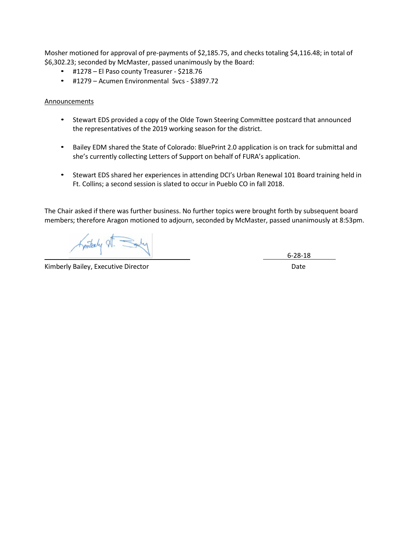Mosher motioned for approval of pre-payments of \$2,185.75, and checks totaling \$4,116.48; in total of \$6,302.23; seconded by McMaster, passed unanimously by the Board:

- #1278 El Paso county Treasurer \$218.76
- #1279 Acumen Environmental Svcs \$3897.72

### **Announcements**

- Stewart EDS provided a copy of the Olde Town Steering Committee postcard that announced the representatives of the 2019 working season for the district.
- Bailey EDM shared the State of Colorado: BluePrint 2.0 application is on track for submittal and she's currently collecting Letters of Support on behalf of FURA's application.
- Stewart EDS shared her experiences in attending DCI's Urban Renewal 101 Board training held in Ft. Collins; a second session is slated to occur in Pueblo CO in fall 2018.

The Chair asked if there was further business. No further topics were brought forth by subsequent board members; therefore Aragon motioned to adjourn, seconded by McMaster, passed unanimously at 8:53pm.

Kintenly VI.

Kimberly Bailey, Executive Director **Date and Accord Paintings** and Date Date

6-28-18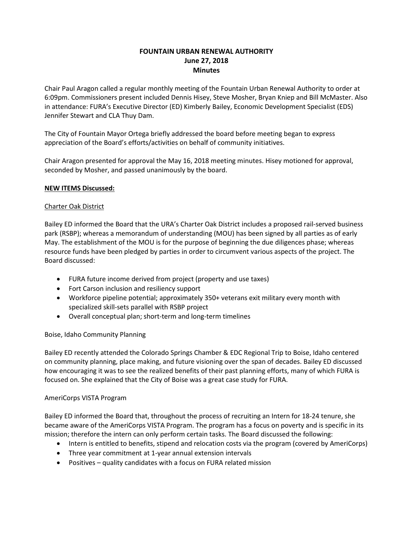# **FOUNTAIN URBAN RENEWAL AUTHORITY June 27, 2018 Minutes**

Chair Paul Aragon called a regular monthly meeting of the Fountain Urban Renewal Authority to order at 6:09pm. Commissioners present included Dennis Hisey, Steve Mosher, Bryan Kniep and Bill McMaster. Also in attendance: FURA's Executive Director (ED) Kimberly Bailey, Economic Development Specialist (EDS) Jennifer Stewart and CLA Thuy Dam.

The City of Fountain Mayor Ortega briefly addressed the board before meeting began to express appreciation of the Board's efforts/activities on behalf of community initiatives.

Chair Aragon presented for approval the May 16, 2018 meeting minutes. Hisey motioned for approval, seconded by Mosher, and passed unanimously by the board.

# **NEW ITEMS Discussed:**

# Charter Oak District

Bailey ED informed the Board that the URA's Charter Oak District includes a proposed rail-served business park (RSBP); whereas a memorandum of understanding (MOU) has been signed by all parties as of early May. The establishment of the MOU is for the purpose of beginning the due diligences phase; whereas resource funds have been pledged by parties in order to circumvent various aspects of the project. The Board discussed:

- FURA future income derived from project (property and use taxes)
- Fort Carson inclusion and resiliency support
- Workforce pipeline potential; approximately 350+ veterans exit military every month with specialized skill-sets parallel with RSBP project
- Overall conceptual plan; short-term and long-term timelines

# Boise, Idaho Community Planning

Bailey ED recently attended the Colorado Springs Chamber & EDC Regional Trip to Boise, Idaho centered on community planning, place making, and future visioning over the span of decades. Bailey ED discussed how encouraging it was to see the realized benefits of their past planning efforts, many of which FURA is focused on. She explained that the City of Boise was a great case study for FURA.

# AmeriCorps VISTA Program

Bailey ED informed the Board that, throughout the process of recruiting an Intern for 18-24 tenure, she became aware of the AmeriCorps VISTA Program. The program has a focus on poverty and is specific in its mission; therefore the intern can only perform certain tasks. The Board discussed the following:

- Intern is entitled to benefits, stipend and relocation costs via the program (covered by AmeriCorps)
- Three year commitment at 1-year annual extension intervals
- Positives quality candidates with a focus on FURA related mission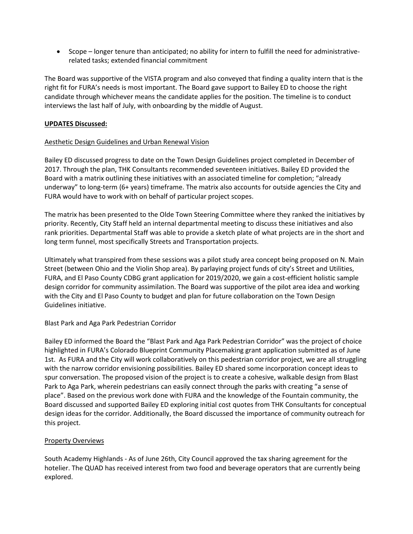Scope – longer tenure than anticipated; no ability for intern to fulfill the need for administrativerelated tasks; extended financial commitment

The Board was supportive of the VISTA program and also conveyed that finding a quality intern that is the right fit for FURA's needs is most important. The Board gave support to Bailey ED to choose the right candidate through whichever means the candidate applies for the position. The timeline is to conduct interviews the last half of July, with onboarding by the middle of August.

# **UPDATES Discussed:**

# Aesthetic Design Guidelines and Urban Renewal Vision

Bailey ED discussed progress to date on the Town Design Guidelines project completed in December of 2017. Through the plan, THK Consultants recommended seventeen initiatives. Bailey ED provided the Board with a matrix outlining these initiatives with an associated timeline for completion; "already underway" to long-term (6+ years) timeframe. The matrix also accounts for outside agencies the City and FURA would have to work with on behalf of particular project scopes.

The matrix has been presented to the Olde Town Steering Committee where they ranked the initiatives by priority. Recently, City Staff held an internal departmental meeting to discuss these initiatives and also rank priorities. Departmental Staff was able to provide a sketch plate of what projects are in the short and long term funnel, most specifically Streets and Transportation projects.

Ultimately what transpired from these sessions was a pilot study area concept being proposed on N. Main Street (between Ohio and the Violin Shop area). By parlaying project funds of city's Street and Utilities, FURA, and El Paso County CDBG grant application for 2019/2020, we gain a cost-efficient holistic sample design corridor for community assimilation. The Board was supportive of the pilot area idea and working with the City and El Paso County to budget and plan for future collaboration on the Town Design Guidelines initiative.

# Blast Park and Aga Park Pedestrian Corridor

Bailey ED informed the Board the "Blast Park and Aga Park Pedestrian Corridor" was the project of choice highlighted in FURA's Colorado Blueprint Community Placemaking grant application submitted as of June 1st. As FURA and the City will work collaboratively on this pedestrian corridor project, we are all struggling with the narrow corridor envisioning possibilities. Bailey ED shared some incorporation concept ideas to spur conversation. The proposed vision of the project is to create a cohesive, walkable design from Blast Park to Aga Park, wherein pedestrians can easily connect through the parks with creating "a sense of place". Based on the previous work done with FURA and the knowledge of the Fountain community, the Board discussed and supported Bailey ED exploring initial cost quotes from THK Consultants for conceptual design ideas for the corridor. Additionally, the Board discussed the importance of community outreach for this project.

# Property Overviews

South Academy Highlands - As of June 26th, City Council approved the tax sharing agreement for the hotelier. The QUAD has received interest from two food and beverage operators that are currently being explored.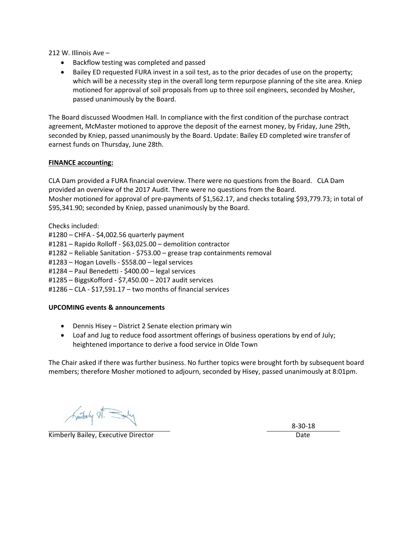212 W. Illinois Ave –

- Backflow testing was completed and passed
- Bailey ED requested FURA invest in a soil test, as to the prior decades of use on the property; which will be a necessity step in the overall long term repurpose planning of the site area. Kniep motioned for approval of soil proposals from up to three soil engineers, seconded by Mosher, passed unanimously by the Board.

The Board discussed Woodmen Hall. In compliance with the first condition of the purchase contract agreement, McMaster motioned to approve the deposit of the earnest money, by Friday, June 29th, seconded by Kniep, passed unanimously by the Board. Update: Bailey ED completed wire transfer of earnest funds on Thursday, June 28th.

### **FINANCE accounting:**

CLA Dam provided a FURA financial overview. There were no questions from the Board. CLA Dam provided an overview of the 2017 Audit. There were no questions from the Board. Mosher motioned for approval of pre-payments of \$1,562.17, and checks totaling \$93,779.73; in total of \$95,341.90; seconded by Kniep, passed unanimously by the Board.

Checks included:

- #1280 CHFA \$4,002.56 quarterly payment
- #1281 Rapido Rolloff \$63,025.00 demolition contractor
- #1282 Reliable Sanitation \$753.00 grease trap containments removal
- #1283 Hogan Lovells \$558.00 legal services
- #1284 Paul Benedetti \$400.00 legal services
- #1285 BiggsKofford \$7,450.00 2017 audit services
- #1286 CLA \$17,591.17 two months of financial services

# **UPCOMING events & announcements**

- Dennis Hisey District 2 Senate election primary win
- Loaf and Jug to reduce food assortment offerings of business operations by end of July; heightened importance to derive a food service in Olde Town

The Chair asked if there was further business. No further topics were brought forth by subsequent board members; therefore Mosher motioned to adjourn, seconded by Hisey, passed unanimously at 8:01pm.

Finitarly It. Saly

Kimberly Bailey, Executive Director Date Date Date Date

8-30-18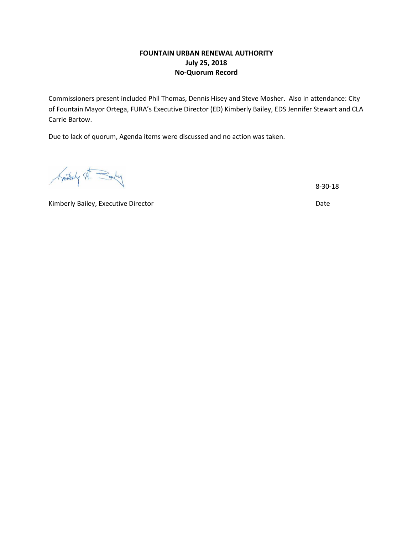# **FOUNTAIN URBAN RENEWAL AUTHORITY July 25, 2018 No-Quorum Record**

Commissioners present included Phil Thomas, Dennis Hisey and Steve Mosher. Also in attendance: City of Fountain Mayor Ortega, FURA's Executive Director (ED) Kimberly Bailey, EDS Jennifer Stewart and CLA Carrie Bartow.

Due to lack of quorum, Agenda items were discussed and no action was taken.

8-30-18

Kimberly Bailey, Executive Director **National Contract Contract Contract Contract Contract Contract Contract Contract Contract Contract Contract Contract Contract Contract Contract Contract Contract Contract Contract Contr**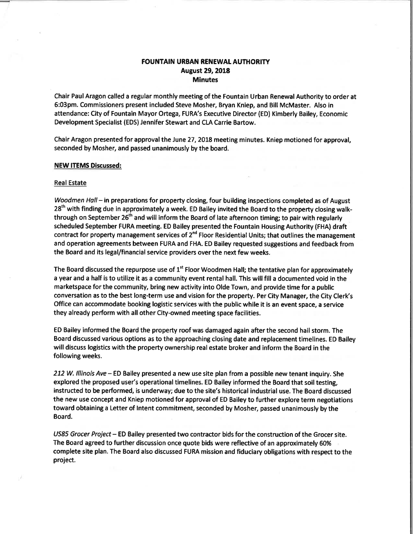# **FOUNTAIN URBAN RENEWAL AUTHORITY August 29, 2018 Minutes**

Chair Paul Aragon called a regular monthly meeting of the Fountain Urban Renewal Authority to order at 6:03pm. Commissioners present included Steve Mosher, Bryan Kniep, and Bill McMaster. Also in attendance: City of Fountain Mayor Ortega, FURA's Executive Director (ED) Kimberly Bailey, Economic Development Specialist (EDS) Jennifer Stewart and CLA Carrie Bartow.

Chair Aragon presented for approval the June 27, 2018 meeting minutes. Kniep motioned for approval, seconded by Mosher, and passed unanimously by the board.

#### **NEW ITEMS Discussed:**

#### **Real Estate**

Woodmen Hall - in preparations for property closing, four building inspections completed as of August 28<sup>th</sup> with finding due in approximately a week. ED Bailey invited the Board to the property closing walkthrough on September 26<sup>th</sup> and will inform the Board of late afternoon timing; to pair with regularly scheduled September FURA meeting. ED Bailey presented the Fountain Housing Authority (FHA) draft contract for property management services of 2<sup>nd</sup> Floor Residential Units; that outlines the management and operation agreements between FURA and FHA. ED Bailey requested suggestions and feedback from the Board and its legal/financial service providers over the next few weeks.

The Board discussed the repurpose use of 1<sup>st</sup> Floor Woodmen Hall; the tentative plan for approximately a year and a half is to utilize it as a community event rental hall. This will fill a documented void in the marketspace for the community, bring new activity into Olde Town, and provide time for a public conversation as to the best long-term use and vision for the property. Per City Manager, the City Clerk's Office can accommodate booking logistic services with the public while it is an event space, a service they already perform with all other City-owned meeting space facilities.

ED Bailey informed the Board the property roof was damaged again after the second hail storm. The Board discussed various options as to the approaching closing date and replacement timelines. ED Bailey will discuss logistics with the property ownership real estate broker and inform the Board in the following weeks.

212 W. Illinois Ave – ED Bailey presented a new use site plan from a possible new tenant inquiry. She explored the proposed user's operational timelines. ED Bailey informed the Board that soil testing, instructed to be performed, is underway; due to the site's historical industrial use. The Board discussed the new use concept and Kniep motioned for approval of ED Bailey to further explore term negotiations toward obtaining a Letter of Intent commitment, seconded by Mosher, passed unanimously by the Board.

US85 Grocer Project – ED Bailey presented two contractor bids for the construction of the Grocer site. The Board agreed to further discussion once quote bids were reflective of an approximately 60% complete site plan. The Board also discussed FURA mission and fiduciary obligations with respect to the project.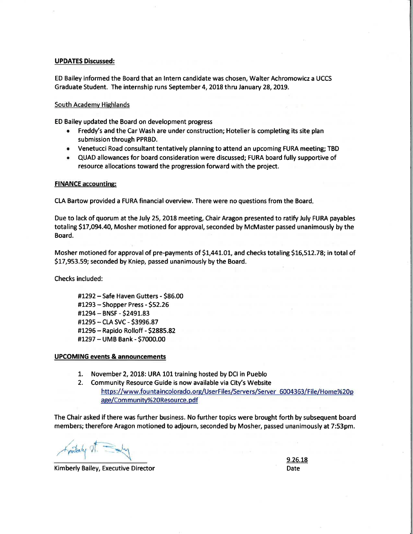#### **UPDATES Discussed:**

ED Bailey informed the Board that an Intern candidate was chosen, Walter Achromowicz a UCCS Graduate Student. The internship runs September 4, 2018 thru January 28, 2019.

#### South Academy Highlands

ED Bailey updated the Board on development progress

- Freddy's and the Car Wash are under construction; Hotelier is completing its site plan submission through PPRBD.
- Venetucci Road consultant tentatively planning to attend an upcoming FURA meeting; TBD
- . QUAD allowances for board consideration were discussed; FURA board fully supportive of resource allocations toward the progression forward with the project.

#### **FINANCE accounting:**

CLA Bartow provided a FURA financial overview. There were no questions from the Board.

Due to lack of quorum at the July 25, 2018 meeting, Chair Aragon presented to ratify July FURA payables totaling \$17,094.40, Mosher motioned for approval, seconded by McMaster passed unanimously by the Board.

Mosher motioned for approval of pre-payments of \$1,441.01, and checks totaling \$16,512.78; in total of \$17,953.59; seconded by Kniep, passed unanimously by the Board.

Checks included:

#1292 - Safe Haven Gutters - \$86.00 #1293 - Shopper Press - \$52.26 #1294 - BNSF - \$2491.83 #1295 - CLA SVC - \$3996.87 #1296 - Rapido Rolloff - \$2885.82 #1297 - UMB Bank - \$7000.00

#### **UPCOMING events & announcements**

- 1. November 2, 2018: URA 101 training hosted by DCI in Pueblo
- Community Resource Guide is now available via City's Website  $2.$ https://www.fountaincolorado.org/UserFiles/Servers/Server 6004363/File/Home%20p age/Community%20Resource.pdf

The Chair asked if there was further business. No further topics were brought forth by subsequent board members; therefore Aragon motioned to adjourn, seconded by Mosher, passed unanimously at 7:53pm.

Kimberly Bailey, Executive Director

9.26.18 Date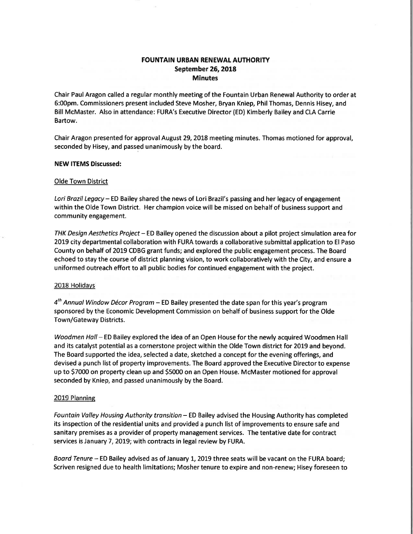# **FOUNTAIN URBAN RENEWAL AUTHORITY** September 26, 2018 **Minutes**

Chair Paul Aragon called a regular monthly meeting of the Fountain Urban Renewal Authority to order at 6:00pm. Commissioners present included Steve Mosher, Bryan Kniep, Phil Thomas, Dennis Hisey, and Bill McMaster. Also in attendance: FURA's Executive Director (ED) Kimberly Bailey and CLA Carrie Bartow.

Chair Aragon presented for approval August 29, 2018 meeting minutes. Thomas motioned for approval, seconded by Hisey, and passed unanimously by the board.

#### **NEW ITEMS Discussed:**

#### **Olde Town District**

Lori Brazil Legacy - ED Bailey shared the news of Lori Brazil's passing and her legacy of engagement within the Olde Town District. Her champion voice will be missed on behalf of business support and community engagement.

THK Design Aesthetics Project - ED Bailey opened the discussion about a pilot project simulation area for 2019 city departmental collaboration with FURA towards a collaborative submittal application to El Paso County on behalf of 2019 CDBG grant funds; and explored the public engagement process. The Board echoed to stay the course of district planning vision, to work collaboratively with the City, and ensure a uniformed outreach effort to all public bodies for continued engagement with the project.

#### 2018 Holidays

 $4<sup>th</sup>$  Annual Window Décor Program – ED Bailey presented the date span for this year's program sponsored by the Economic Development Commission on behalf of business support for the Olde Town/Gateway Districts.

Woodmen Hall - ED Bailey explored the idea of an Open House for the newly acquired Woodmen Hall and its catalyst potential as a cornerstone project within the Olde Town district for 2019 and beyond. The Board supported the idea, selected a date, sketched a concept for the evening offerings, and devised a punch list of property improvements. The Board approved the Executive Director to expense up to \$7000 on property clean up and \$5000 on an Open House. McMaster motioned for approval seconded by Kniep, and passed unanimously by the Board.

#### 2019 Planning

Fountain Valley Housing Authority transition - ED Bailey advised the Housing Authority has completed its inspection of the residential units and provided a punch list of improvements to ensure safe and sanitary premises as a provider of property management services. The tentative date for contract services is January 7, 2019; with contracts in legal review by FURA.

Board Tenure - ED Bailey advised as of January 1, 2019 three seats will be vacant on the FURA board; Scriven resigned due to health limitations; Mosher tenure to expire and non-renew; Hisey foreseen to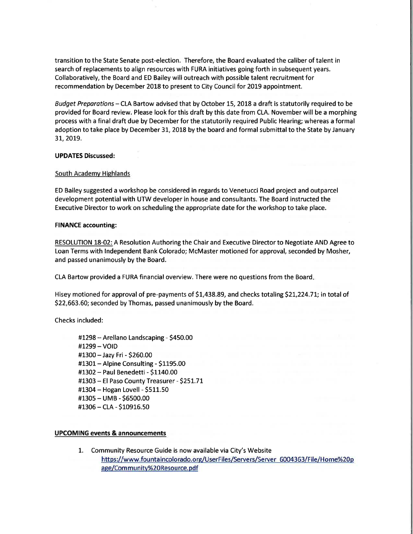transition to the State Senate post-election. Therefore, the Board evaluated the caliber of talent in search of replacements to align resources with FURA initiatives going forth in subsequent years. Collaboratively, the Board and ED Bailey will outreach with possible talent recruitment for recommendation by December 2018 to present to City Council for 2019 appointment.

Budget Preparations - CLA Bartow advised that by October 15, 2018 a draft is statutorily required to be provided for Board review. Please look for this draft by this date from CLA. November will be a morphing process with a final draft due by December for the statutorily required Public Hearing; whereas a formal adoption to take place by December 31, 2018 by the board and formal submittal to the State by January 31, 2019.

#### **UPDATES Discussed:**

### South Academy Highlands

ED Bailey suggested a workshop be considered in regards to Venetucci Road project and outparcel development potential with UTW developer in house and consultants. The Board instructed the Executive Director to work on scheduling the appropriate date for the workshop to take place.

#### **FINANCE accounting:**

RESOLUTION 18-02: A Resolution Authoring the Chair and Executive Director to Negotiate AND Agree to Loan Terms with Independent Bank Colorado; McMaster motioned for approval, seconded by Mosher, and passed unanimously by the Board.

CLA Bartow provided a FURA financial overview. There were no questions from the Board.

Hisey motioned for approval of pre-payments of \$1,438.89, and checks totaling \$21,224.71; in total of \$22,663.60; seconded by Thomas, passed unanimously by the Board.

Checks included:

#1298 - Arellano Landscaping - \$450.00 #1299 - VOID #1300 - Jazy Fri - \$260.00 #1301 - Alpine Consulting - \$1195.00 #1302 - Paul Benedetti - \$1140.00 #1303 - El Paso County Treasurer - \$251.71 #1304 - Hogan Lovell - \$511.50 #1305 - UMB - \$6500.00 #1306 - CLA - \$10916.50

# **UPCOMING events & announcements**

1. Community Resource Guide is now available via City's Website https://www.fountaincolorado.org/UserFiles/Servers/Server 6004363/File/Home%20p age/Community%20Resource.pdf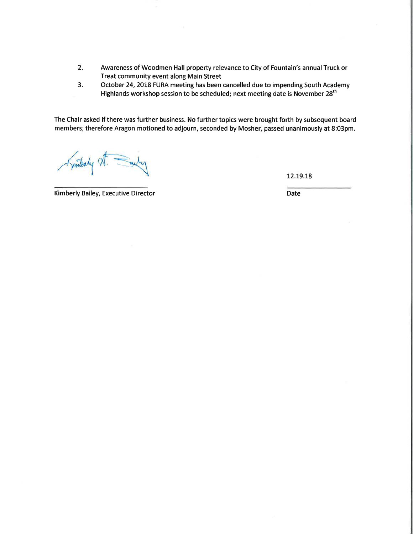- $2.$ Awareness of Woodmen Hall property relevance to City of Fountain's annual Truck or Treat community event along Main Street
- $3.$ October 24, 2018 FURA meeting has been cancelled due to impending South Academy Highlands workshop session to be scheduled; next meeting date is November 28<sup>th</sup>

The Chair asked if there was further business. No further topics were brought forth by subsequent board members; therefore Aragon motioned to adjourn, seconded by Mosher, passed unanimously at 8:03pm.

Fymterly XT.

12.19.18

Kimberly Bailey, Executive Director

Date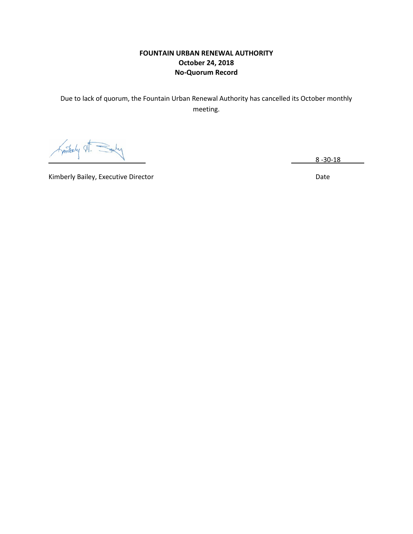# **FOUNTAIN URBAN RENEWAL AUTHORITY October 24, 2018 No-Quorum Record**

Due to lack of quorum, the Fountain Urban Renewal Authority has cancelled its October monthly meeting.

Kinterly

8 -30-18

Kimberly Bailey, Executive Director **National Contract Contract Contract Contract Contract Contract Contract Contract Contract Contract Contract Contract Contract Contract Contract Contract Contract Contract Contract Contr**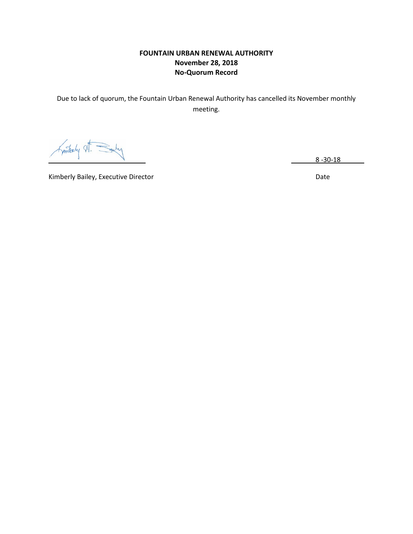# **FOUNTAIN URBAN RENEWAL AUTHORITY November 28, 2018 No-Quorum Record**

Due to lack of quorum, the Fountain Urban Renewal Authority has cancelled its November monthly meeting.

Kintaly

8 -30-18

Kimberly Bailey, Executive Director **National Contract of Contract Contract Contract Contract Contract Contract Contract Contract Contract Contract Contract Contract Contract Contract Contract Contract Contract Contract Co**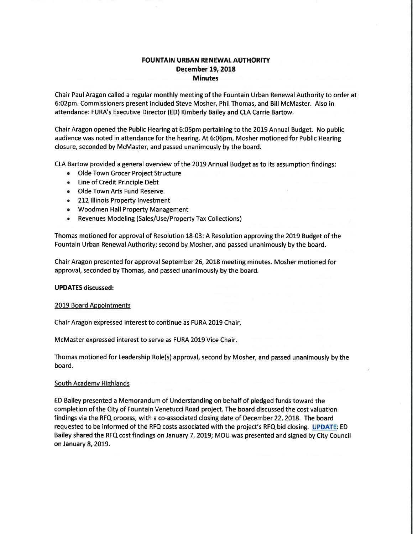# **FOUNTAIN URBAN RENEWAL AUTHORITY December 19, 2018 Minutes**

Chair Paul Aragon called a regular monthly meeting of the Fountain Urban Renewal Authority to order at 6:02pm. Commissioners present included Steve Mosher, Phil Thomas, and Bill McMaster. Also in attendance: FURA's Executive Director (ED) Kimberly Bailey and CLA Carrie Bartow.

Chair Aragon opened the Public Hearing at 6:05pm pertaining to the 2019 Annual Budget. No public audience was noted in attendance for the hearing. At 6:06pm, Mosher motioned for Public Hearing closure, seconded by McMaster, and passed unanimously by the board.

CLA Bartow provided a general overview of the 2019 Annual Budget as to its assumption findings:

- Olde Town Grocer Project Structure
- Line of Credit Principle Debt
- Olde Town Arts Fund Reserve
- 212 Illinois Property Investment
- Woodmen Hall Property Management
- Revenues Modeling (Sales/Use/Property Tax Collections) ۰

Thomas motioned for approval of Resolution 18-03: A Resolution approving the 2019 Budget of the Fountain Urban Renewal Authority; second by Mosher, and passed unanimously by the board.

Chair Aragon presented for approval September 26, 2018 meeting minutes. Mosher motioned for approval, seconded by Thomas, and passed unanimously by the board.

#### **UPDATES discussed:**

#### 2019 Board Appointments

Chair Aragon expressed interest to continue as FURA 2019 Chair.

McMaster expressed interest to serve as FURA 2019 Vice Chair.

Thomas motioned for Leadership Role(s) approval, second by Mosher, and passed unanimously by the board.

#### **South Academy Highlands**

ED Bailey presented a Memorandum of Understanding on behalf of pledged funds toward the completion of the City of Fountain Venetucci Road project. The board discussed the cost valuation findings via the RFQ process, with a co-associated closing date of December 22, 2018. The board requested to be informed of the RFQ costs associated with the project's RFQ bid closing. UPDATE: ED Bailey shared the RFQ cost findings on January 7, 2019; MOU was presented and signed by City Council on January 8, 2019.